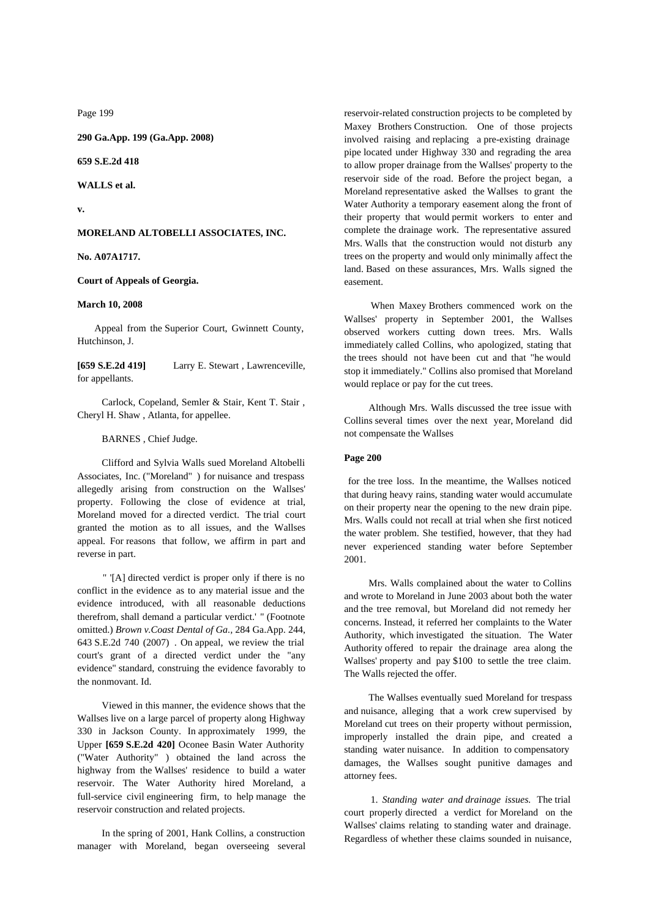Page 199

**290 Ga.App. 199 (Ga.App. 2008)**

**659 S.E.2d 418**

**WALLS et al.**

**v.**

# **MORELAND ALTOBELLI ASSOCIATES, INC.**

**No. A07A1717.**

#### **Court of Appeals of Georgia.**

#### **March 10, 2008**

 Appeal from the Superior Court, Gwinnett County, Hutchinson, J.

**[659 S.E.2d 419]** Larry E. Stewart , Lawrenceville, for appellants.

 Carlock, Copeland, Semler & Stair, Kent T. Stair , Cheryl H. Shaw , Atlanta, for appellee.

BARNES , Chief Judge.

 Clifford and Sylvia Walls sued Moreland Altobelli Associates, Inc. ("Moreland" ) for nuisance and trespass allegedly arising from construction on the Wallses'property. Following the close of evidence at trial, Moreland moved for a directed verdict. The trial court granted the motion as to all issues, and the Wallses appeal. For reasons that follow, we affirm in part and reverse in part.

" '[A] directed verdict is proper only if there is no conflict in the evidence as to any material issue and the evidence introduced, with all reasonable deductions therefrom, shall demand a particular verdict.' " (Footnote omitted.) *Brown v.Coast Dental of Ga.,* 284 Ga.App. 244, 643 S.E.2d 740 (2007) . On appeal, we review the trial court's grant of a directed verdict under the "any evidence" standard, construing the evidence favorably to the nonmovant. Id.

 Viewed in this manner, the evidence shows that the Wallses live on a large parcel of property along Highway 330 in Jackson County. In approximately 1999, the Upper **[659 S.E.2d 420]** Oconee Basin Water Authority ("Water Authority" ) obtained the land across the highway from the Wallses' residence to build a water reservoir. The Water Authority hired Moreland, a full-service civil engineering firm, to help manage the reservoir construction and related projects.

 In the spring of 2001, Hank Collins, a construction manager with Moreland, began overseeing several reservoir-related construction projects to be completed by Maxey Brothers Construction. One of those projects involved raising and replacing a pre-existing drainage pipe located under Highway 330 and regrading the area to allow proper drainage from the Wallses' property to the reservoir side of the road. Before the project began, a Moreland representative asked the Wallses to grant the Water Authority a temporary easement along the front of their property that would permit workers to enter and complete the drainage work. The representative assured Mrs. Walls that the construction would not disturb any trees on the property and would only minimally affect the land. Based on these assurances, Mrs. Walls signed the easement.

When Maxey Brothers commenced work on the Wallses' property in September 2001, the Wallses observed workers cutting down trees. Mrs. Walls immediately called Collins, who apologized, stating that the trees should not have been cut and that "he would stop it immediately." Collins also promised that Moreland would replace or pay for the cut trees.

 Although Mrs. Walls discussed the tree issue with Collins several times over the next year, Moreland did not compensate the Wallses

#### **Page 200**

for the tree loss. In the meantime, the Wallses noticed that during heavy rains, standing water would accumulate on their property near the opening to the new drain pipe. Mrs. Walls could not recall at trial when she first noticed the water problem. She testified, however, that they had never experienced standing water before September 2001.

 Mrs. Walls complained about the water to Collins and wrote to Moreland in June 2003 about both the water and the tree removal, but Moreland did not remedy her concerns. Instead, it referred her complaints to the Water Authority, which investigated the situation. The Water Authority offered to repair the drainage area along the Wallses' property and pay \$100 to settle the tree claim. The Walls rejected the offer.

 The Wallses eventually sued Moreland for trespass and nuisance, alleging that a work crew supervised by Moreland cut trees on their property without permission, improperly installed the drain pipe, and created a standing water nuisance. In addition to compensatory damages, the Wallses sought punitive damages and attorney fees.

1. *Standing water and drainage issues.* The trial court properly directed a verdict for Moreland on the Wallses' claims relating to standing water and drainage. Regardless of whether these claims sounded in nuisance,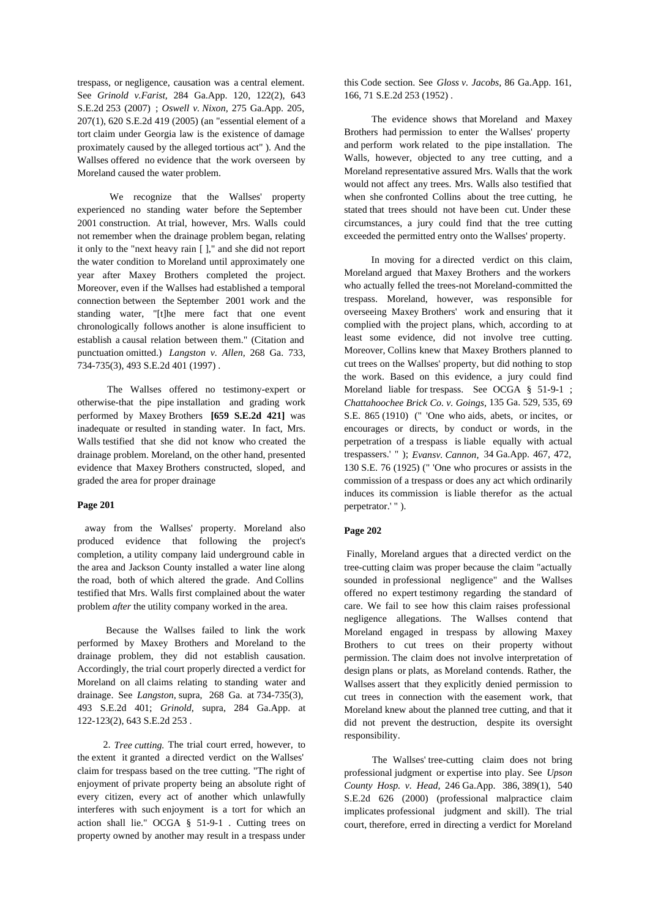trespass, or negligence, causation was a central element. See *Grinold v.Farist,* 284 Ga.App. 120, 122(2), 643 S.E.2d 253 (2007) ; *Oswell v. Nixon,* 275 Ga.App. 205, 207(1), 620 S.E.2d 419 (2005) (an "essential element of a tort claim under Georgia law is the existence of damage proximately caused by the alleged tortious act" ). And the and perform work related to the pipe installation. The wallses offered no evidence that the work overseen by Walls, however, objected to any tree cutting, and a Wallses offered no evidence that the work overseen by Moreland caused the water problem.

We recognize that the Wallses' property experienced no standing water before the September 2001 construction. At trial, however, Mrs. Walls could not remember when the drainage problem began, relating it only to the "next heavy rain [ ]," and she did not report the water condition to Moreland until approximately one year after Maxey Brothers completed the project. Moreover, even if the Wallses had established a temporal connection between the September 2001 work and the standing water, "[t]he mere fact that one event chronologically follows another is alone insufficient to establish a causal relation between them." (Citation and punctuation omitted.) *Langston v. Allen,* 268 Ga. 733, 734-735(3), 493 S.E.2d 401 (1997) .

The Wallses offered no testimony-expert or otherwise-that the pipe installation and grading work performed by Maxey Brothers **[659 S.E.2d 421]** was inadequate or resulted in standing water. In fact, Mrs. Walls testified that she did not know who created the drainage problem. Moreland, on the other hand, presented evidence that Maxey Brothers constructed, sloped, and graded the area for proper drainage

### **Page 201**

away from the Wallses' property. Moreland also produced evidence that following the project's completion, a utility company laid underground cable in the area and Jackson County installed a water line along the road, both of which altered the grade. And Collins testified that Mrs. Walls first complained about the water problem *after* the utility company worked in the area.

Because the Wallses failed to link the work performed by Maxey Brothers and Moreland to the drainage problem, they did not establish causation.Accordingly, the trial court properly directed a verdict for Moreland on all claims relating to standing water and drainage. See *Langston,* supra, 268 Ga. at 734-735(3), 493 S.E.2d 401; *Grinold,* supra, 284 Ga.App. at 122-123(2), 643 S.E.2d 253 .

2. *Tree cutting.* The trial court erred, however, to the extent it granted a directed verdict on the Wallses' claim for trespass based on the tree cutting. "The right of enjoyment of private property being an absolute right of every citizen, every act of another which unlawfully interferes with such enjoyment is a tort for which an action shall lie." OCGA § 51-9-1 . Cutting trees on property owned by another may result in a trespass under

this Code section. See *Gloss v. Jacobs,* 86 Ga.App. 161, 166, 71 S.E.2d 253 (1952) .

The evidence shows that Moreland and Maxey Brothers had permission to enter the Wallses' property and perform work related to the pipe installation. The Moreland representative assured Mrs. Walls that the work would not affect any trees. Mrs. Walls also testified that when she confronted Collins about the tree cutting, he stated that trees should not have been cut. Under these circumstances, a jury could find that the tree cutting exceeded the permitted entry onto the Wallses' property.

In moving for a directed verdict on this claim, Moreland argued that Maxey Brothers and the workers who actually felled the trees-not Moreland-committed the overseeing Maxey Brothers' work and ensuring that it complied with the project plans, which, according to at least some evidence, did not involve tree cutting. Moreover, Collins knew that Maxey Brothers planned to cut trees on the Wallses' property, but did nothing to stop the work. Based on this evidence, a jury could find Moreland liable for trespass. See OCGA § 51-9-1 ; *Chattahoochee Brick Co. v. Goings,* 135 Ga. 529, 535, 69 S.E. 865 (1910) (" 'One who aids, abets, or incites, or encourages or directs, by conduct or words, in the perpetration of a trespass is liable equally with actual trespassers.' " ); *Evansv. Cannon,* 34 Ga.App. 467, 472, 130 S.E. 76 (1925) (" 'One who procures or assists in the commission of a trespass or does any act which ordinarily induces its commission is liable therefor as the actual perpetrator.' " ).

## **Page 202**

 Finally, Moreland argues that a directed verdict on the tree-cutting claim was proper because the claim "actually sounded in professional negligence" and the Wallses offered no expert testimony regarding the standard of care. We fail to see how this claim raises professional negligence allegations. The Wallses contend that Moreland engaged in trespass by allowing Maxey Brothers to cut trees on their property without permission. The claim does not involve interpretation of design plans or plats, as Moreland contends. Rather, the Wallses assert that they explicitly denied permission to cut trees in connection with the easement work, that Moreland knew about the planned tree cutting, and that it did not prevent the destruction, despite its oversight responsibility.

The Wallses' tree-cutting claim does not bring professional judgment or expertise into play. See *Upson County Hosp. v. Head,* 246 Ga.App. 386, 389(1), 540 S.E.2d 626 (2000) (professional malpractice claim implicates professional judgment and skill). The trial court, therefore, erred in directing a verdict for Moreland